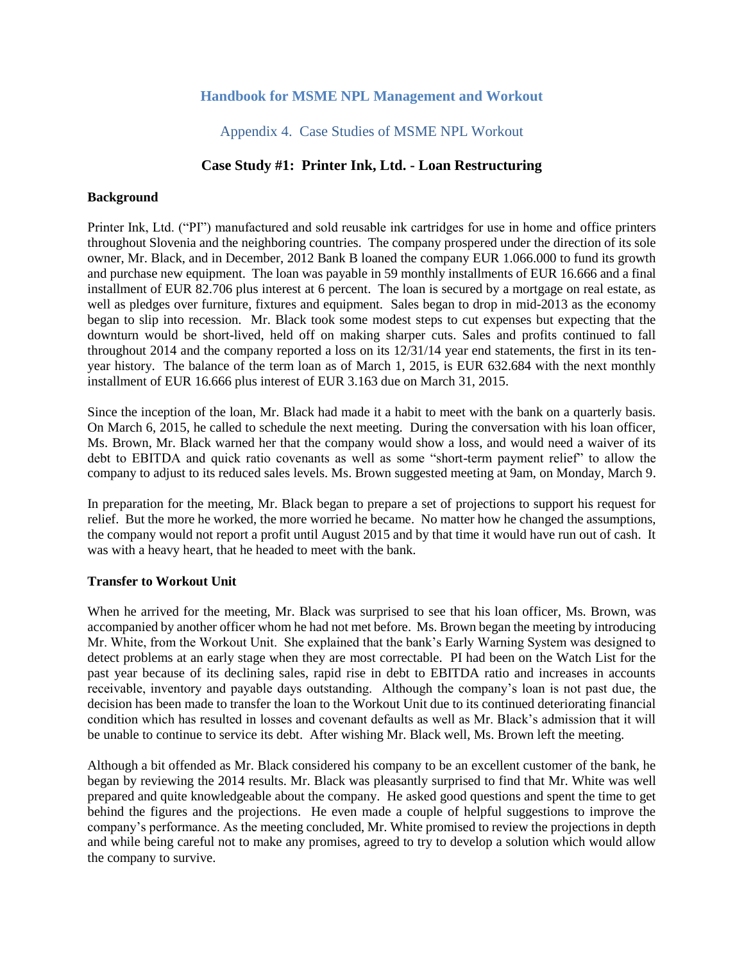# **Handbook for MSME NPL Management and Workout**

# Appendix 4. Case Studies of MSME NPL Workout

# **Case Study #1: Printer Ink, Ltd. - Loan Restructuring**

#### **Background**

Printer Ink, Ltd. ("PI") manufactured and sold reusable ink cartridges for use in home and office printers throughout Slovenia and the neighboring countries. The company prospered under the direction of its sole owner, Mr. Black, and in December, 2012 Bank B loaned the company EUR 1.066.000 to fund its growth and purchase new equipment. The loan was payable in 59 monthly installments of EUR 16.666 and a final installment of EUR 82.706 plus interest at 6 percent. The loan is secured by a mortgage on real estate, as well as pledges over furniture, fixtures and equipment. Sales began to drop in mid-2013 as the economy began to slip into recession. Mr. Black took some modest steps to cut expenses but expecting that the downturn would be short-lived, held off on making sharper cuts. Sales and profits continued to fall throughout 2014 and the company reported a loss on its 12/31/14 year end statements, the first in its tenyear history. The balance of the term loan as of March 1, 2015, is EUR 632.684 with the next monthly installment of EUR 16.666 plus interest of EUR 3.163 due on March 31, 2015.

Since the inception of the loan, Mr. Black had made it a habit to meet with the bank on a quarterly basis. On March 6, 2015, he called to schedule the next meeting. During the conversation with his loan officer, Ms. Brown, Mr. Black warned her that the company would show a loss, and would need a waiver of its debt to EBITDA and quick ratio covenants as well as some "short-term payment relief" to allow the company to adjust to its reduced sales levels. Ms. Brown suggested meeting at 9am, on Monday, March 9.

In preparation for the meeting, Mr. Black began to prepare a set of projections to support his request for relief. But the more he worked, the more worried he became. No matter how he changed the assumptions, the company would not report a profit until August 2015 and by that time it would have run out of cash. It was with a heavy heart, that he headed to meet with the bank.

### **Transfer to Workout Unit**

When he arrived for the meeting, Mr. Black was surprised to see that his loan officer, Ms. Brown, was accompanied by another officer whom he had not met before. Ms. Brown began the meeting by introducing Mr. White, from the Workout Unit. She explained that the bank's Early Warning System was designed to detect problems at an early stage when they are most correctable. PI had been on the Watch List for the past year because of its declining sales, rapid rise in debt to EBITDA ratio and increases in accounts receivable, inventory and payable days outstanding. Although the company's loan is not past due, the decision has been made to transfer the loan to the Workout Unit due to its continued deteriorating financial condition which has resulted in losses and covenant defaults as well as Mr. Black's admission that it will be unable to continue to service its debt. After wishing Mr. Black well, Ms. Brown left the meeting.

Although a bit offended as Mr. Black considered his company to be an excellent customer of the bank, he began by reviewing the 2014 results. Mr. Black was pleasantly surprised to find that Mr. White was well prepared and quite knowledgeable about the company. He asked good questions and spent the time to get behind the figures and the projections. He even made a couple of helpful suggestions to improve the company's performance. As the meeting concluded, Mr. White promised to review the projections in depth and while being careful not to make any promises, agreed to try to develop a solution which would allow the company to survive.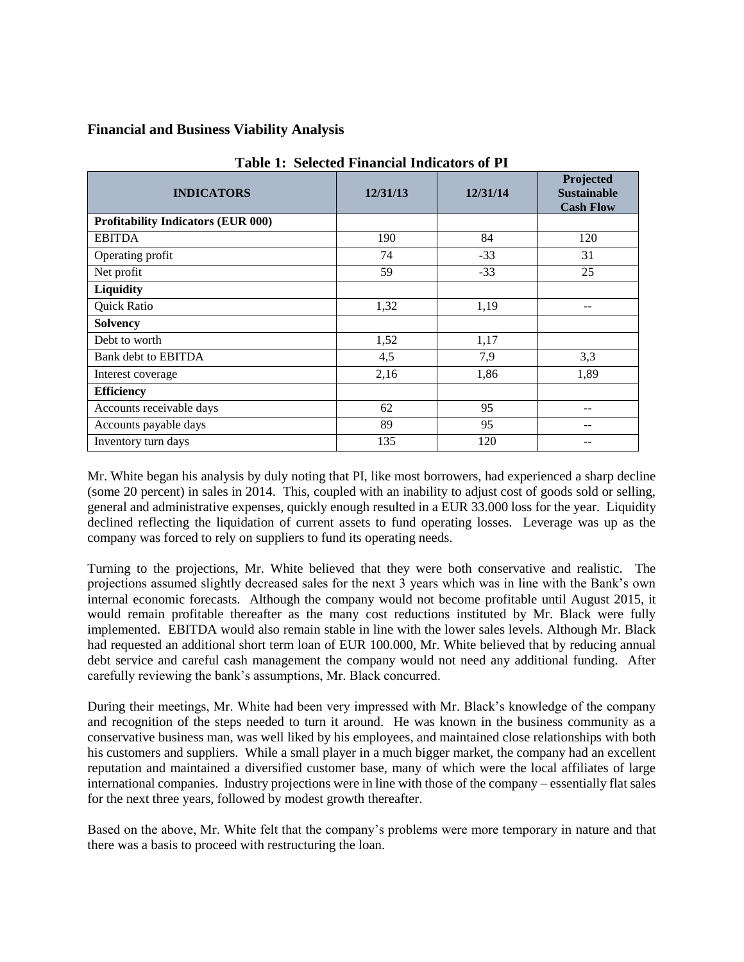# **Financial and Business Viability Analysis**

| <b>INDICATORS</b>                         | 12/31/13 | 12/31/14 | Projected<br><b>Sustainable</b><br><b>Cash Flow</b> |
|-------------------------------------------|----------|----------|-----------------------------------------------------|
| <b>Profitability Indicators (EUR 000)</b> |          |          |                                                     |
| <b>EBITDA</b>                             | 190      | 84       | 120                                                 |
| Operating profit                          | 74       | $-33$    | 31                                                  |
| Net profit                                | 59       | $-33$    | 25                                                  |
| Liquidity                                 |          |          |                                                     |
| Quick Ratio                               | 1,32     | 1,19     |                                                     |
| <b>Solvency</b>                           |          |          |                                                     |
| Debt to worth                             | 1,52     | 1,17     |                                                     |
| Bank debt to EBITDA                       | 4,5      | 7,9      | 3,3                                                 |
| Interest coverage                         | 2,16     | 1,86     | 1,89                                                |
| <b>Efficiency</b>                         |          |          |                                                     |
| Accounts receivable days                  | 62       | 95       |                                                     |
| Accounts payable days                     | 89       | 95       |                                                     |
| Inventory turn days                       | 135      | 120      |                                                     |

**Table 1: Selected Financial Indicators of PI**

Mr. White began his analysis by duly noting that PI, like most borrowers, had experienced a sharp decline (some 20 percent) in sales in 2014. This, coupled with an inability to adjust cost of goods sold or selling, general and administrative expenses, quickly enough resulted in a EUR 33.000 loss for the year. Liquidity declined reflecting the liquidation of current assets to fund operating losses. Leverage was up as the company was forced to rely on suppliers to fund its operating needs.

Turning to the projections, Mr. White believed that they were both conservative and realistic. The projections assumed slightly decreased sales for the next 3 years which was in line with the Bank's own internal economic forecasts. Although the company would not become profitable until August 2015, it would remain profitable thereafter as the many cost reductions instituted by Mr. Black were fully implemented. EBITDA would also remain stable in line with the lower sales levels. Although Mr. Black had requested an additional short term loan of EUR 100.000, Mr. White believed that by reducing annual debt service and careful cash management the company would not need any additional funding. After carefully reviewing the bank's assumptions, Mr. Black concurred.

During their meetings, Mr. White had been very impressed with Mr. Black's knowledge of the company and recognition of the steps needed to turn it around. He was known in the business community as a conservative business man, was well liked by his employees, and maintained close relationships with both his customers and suppliers. While a small player in a much bigger market, the company had an excellent reputation and maintained a diversified customer base, many of which were the local affiliates of large international companies. Industry projections were in line with those of the company – essentially flat sales for the next three years, followed by modest growth thereafter.

Based on the above, Mr. White felt that the company's problems were more temporary in nature and that there was a basis to proceed with restructuring the loan.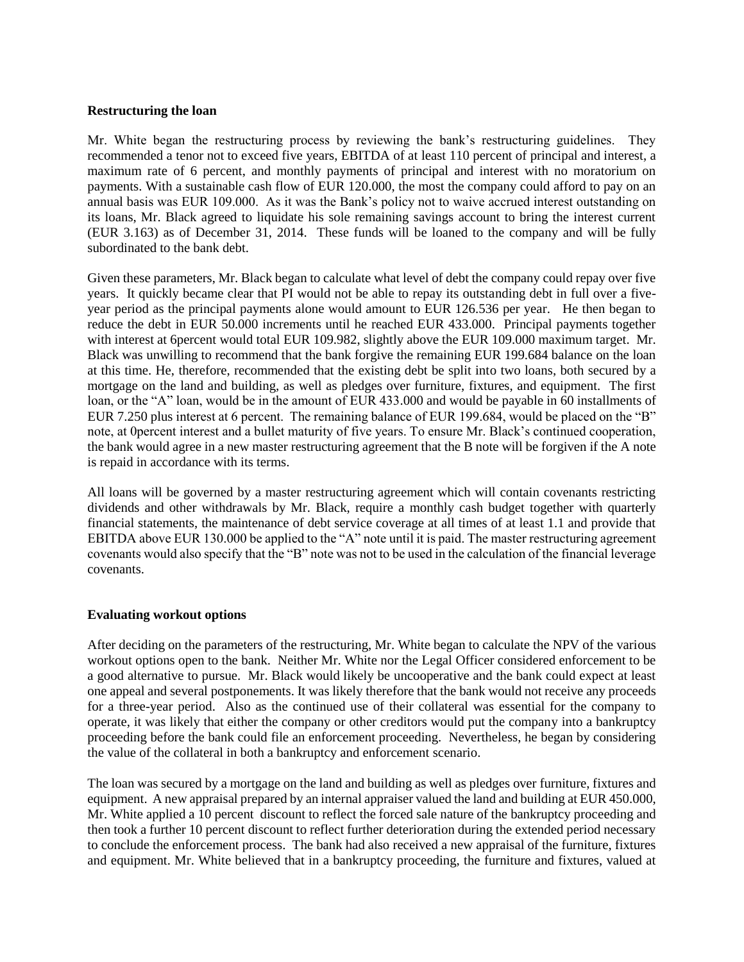### **Restructuring the loan**

Mr. White began the restructuring process by reviewing the bank's restructuring guidelines. They recommended a tenor not to exceed five years, EBITDA of at least 110 percent of principal and interest, a maximum rate of 6 percent, and monthly payments of principal and interest with no moratorium on payments. With a sustainable cash flow of EUR 120.000, the most the company could afford to pay on an annual basis was EUR 109.000. As it was the Bank's policy not to waive accrued interest outstanding on its loans, Mr. Black agreed to liquidate his sole remaining savings account to bring the interest current (EUR 3.163) as of December 31, 2014. These funds will be loaned to the company and will be fully subordinated to the bank debt.

Given these parameters, Mr. Black began to calculate what level of debt the company could repay over five years. It quickly became clear that PI would not be able to repay its outstanding debt in full over a fiveyear period as the principal payments alone would amount to EUR 126.536 per year. He then began to reduce the debt in EUR 50.000 increments until he reached EUR 433.000. Principal payments together with interest at 6percent would total EUR 109.982, slightly above the EUR 109.000 maximum target. Mr. Black was unwilling to recommend that the bank forgive the remaining EUR 199.684 balance on the loan at this time. He, therefore, recommended that the existing debt be split into two loans, both secured by a mortgage on the land and building, as well as pledges over furniture, fixtures, and equipment. The first loan, or the "A" loan, would be in the amount of EUR 433.000 and would be payable in 60 installments of EUR 7.250 plus interest at 6 percent. The remaining balance of EUR 199.684, would be placed on the "B" note, at 0percent interest and a bullet maturity of five years. To ensure Mr. Black's continued cooperation, the bank would agree in a new master restructuring agreement that the B note will be forgiven if the A note is repaid in accordance with its terms.

All loans will be governed by a master restructuring agreement which will contain covenants restricting dividends and other withdrawals by Mr. Black, require a monthly cash budget together with quarterly financial statements, the maintenance of debt service coverage at all times of at least 1.1 and provide that EBITDA above EUR 130.000 be applied to the "A" note until it is paid. The master restructuring agreement covenants would also specify that the "B" note was not to be used in the calculation of the financial leverage covenants.

### **Evaluating workout options**

After deciding on the parameters of the restructuring, Mr. White began to calculate the NPV of the various workout options open to the bank. Neither Mr. White nor the Legal Officer considered enforcement to be a good alternative to pursue. Mr. Black would likely be uncooperative and the bank could expect at least one appeal and several postponements. It was likely therefore that the bank would not receive any proceeds for a three-year period. Also as the continued use of their collateral was essential for the company to operate, it was likely that either the company or other creditors would put the company into a bankruptcy proceeding before the bank could file an enforcement proceeding. Nevertheless, he began by considering the value of the collateral in both a bankruptcy and enforcement scenario.

The loan was secured by a mortgage on the land and building as well as pledges over furniture, fixtures and equipment. A new appraisal prepared by an internal appraiser valued the land and building at EUR 450.000, Mr. White applied a 10 percent discount to reflect the forced sale nature of the bankruptcy proceeding and then took a further 10 percent discount to reflect further deterioration during the extended period necessary to conclude the enforcement process. The bank had also received a new appraisal of the furniture, fixtures and equipment. Mr. White believed that in a bankruptcy proceeding, the furniture and fixtures, valued at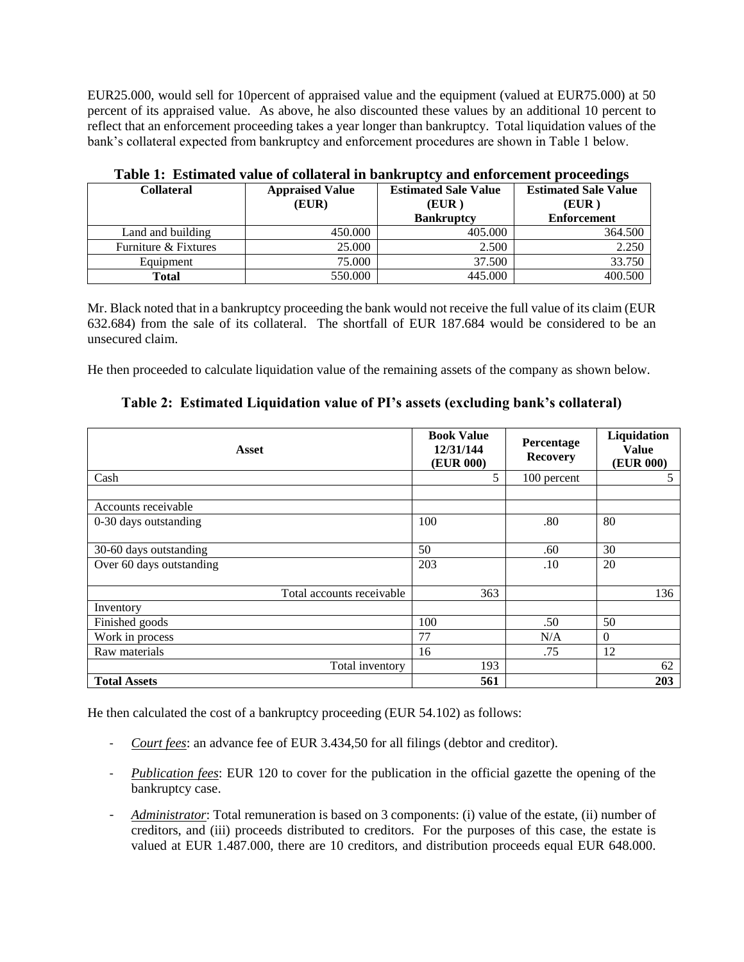EUR25.000, would sell for 10percent of appraised value and the equipment (valued at EUR75.000) at 50 percent of its appraised value. As above, he also discounted these values by an additional 10 percent to reflect that an enforcement proceeding takes a year longer than bankruptcy. Total liquidation values of the bank's collateral expected from bankruptcy and enforcement procedures are shown in Table 1 below.

| <b>Collateral</b>    | <b>Appraised Value</b><br>(EUR) | <b>Estimated Sale Value</b><br>(EUR)<br><b>Bankruptcy</b> | <b>Estimated Sale Value</b><br>(EUR)<br><b>Enforcement</b> |
|----------------------|---------------------------------|-----------------------------------------------------------|------------------------------------------------------------|
| Land and building    | 450.000                         | 405.000                                                   | 364.500                                                    |
| Furniture & Fixtures | 25,000                          | 2.500                                                     | 2.250                                                      |
| Equipment            | 75.000                          | 37.500                                                    | 33.750                                                     |
| <b>Total</b>         | 550.000                         | 445.000                                                   | 400.500                                                    |

|  |  |  | Table 1: Estimated value of collateral in bankruptcy and enforcement proceedings |  |
|--|--|--|----------------------------------------------------------------------------------|--|
|  |  |  |                                                                                  |  |

Mr. Black noted that in a bankruptcy proceeding the bank would not receive the full value of its claim (EUR 632.684) from the sale of its collateral. The shortfall of EUR 187.684 would be considered to be an unsecured claim.

He then proceeded to calculate liquidation value of the remaining assets of the company as shown below.

|  |  |  | Table 2: Estimated Liquidation value of PI's assets (excluding bank's collateral) |  |  |  |  |
|--|--|--|-----------------------------------------------------------------------------------|--|--|--|--|
|--|--|--|-----------------------------------------------------------------------------------|--|--|--|--|

| <b>Asset</b>              | <b>Book Value</b><br>12/31/144<br>(EUR 000) | Percentage<br><b>Recovery</b> | Liquidation<br><b>Value</b><br>(EUR 000) |
|---------------------------|---------------------------------------------|-------------------------------|------------------------------------------|
| Cash                      | 5                                           | 100 percent                   | 5                                        |
| Accounts receivable       |                                             |                               |                                          |
| 0-30 days outstanding     | 100                                         | .80                           | 80                                       |
| 30-60 days outstanding    | 50                                          | .60                           | 30                                       |
| Over 60 days outstanding  | 203                                         | .10                           | 20                                       |
| Total accounts receivable | 363                                         |                               | 136                                      |
| Inventory                 |                                             |                               |                                          |
| Finished goods            | 100                                         | .50                           | 50                                       |
| Work in process           | 77                                          | N/A                           | $\theta$                                 |
| Raw materials             | 16                                          | .75                           | 12                                       |
| Total inventory           | 193                                         |                               | 62                                       |
| <b>Total Assets</b>       | 561                                         |                               | 203                                      |

He then calculated the cost of a bankruptcy proceeding (EUR 54.102) as follows:

- *Court fees*: an advance fee of EUR 3.434,50 for all filings (debtor and creditor).
- *Publication fees*: EUR 120 to cover for the publication in the official gazette the opening of the bankruptcy case.
- *Administrator*: Total remuneration is based on 3 components: (i) value of the estate, (ii) number of creditors, and (iii) proceeds distributed to creditors. For the purposes of this case, the estate is valued at EUR 1.487.000, there are 10 creditors, and distribution proceeds equal EUR 648.000.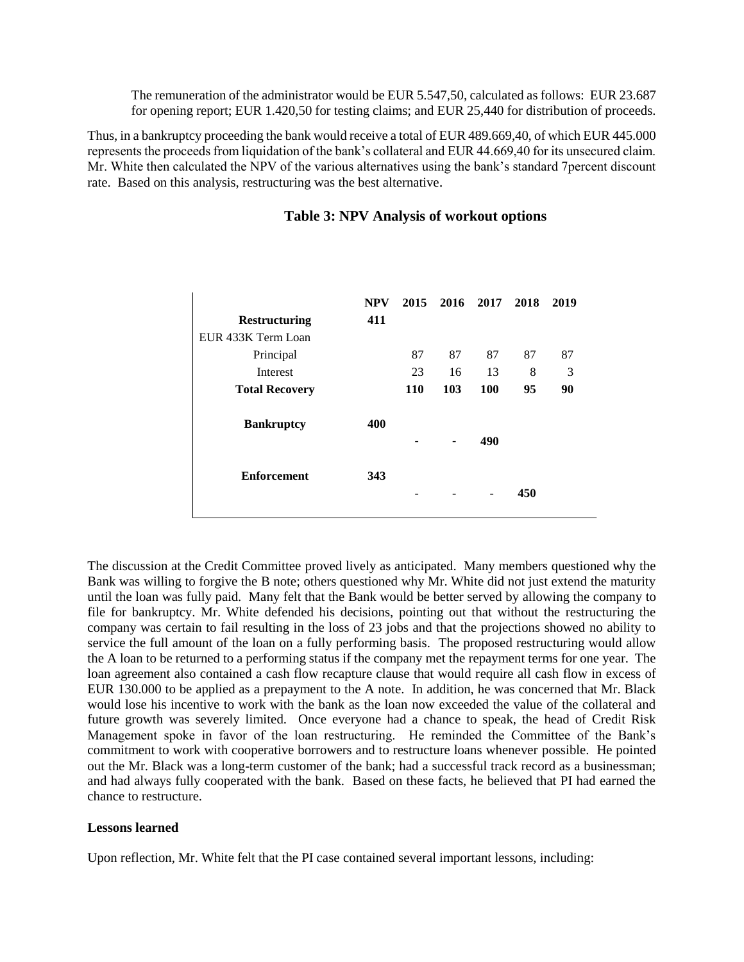The remuneration of the administrator would be EUR 5.547,50, calculated as follows: EUR 23.687 for opening report; EUR 1.420,50 for testing claims; and EUR 25,440 for distribution of proceeds.

Thus, in a bankruptcy proceeding the bank would receive a total of EUR 489.669,40, of which EUR 445.000 represents the proceeds from liquidation of the bank's collateral and EUR 44.669,40 for its unsecured claim. Mr. White then calculated the NPV of the various alternatives using the bank's standard 7percent discount rate. Based on this analysis, restructuring was the best alternative.

| <b>Restructuring</b>  | <b>NPV</b><br>411 |            | 2015 2016 2017 |     | 2018 | 2019 |
|-----------------------|-------------------|------------|----------------|-----|------|------|
| EUR 433K Term Loan    |                   |            |                |     |      |      |
| Principal             |                   | 87         | 87             | 87  | 87   | 87   |
| Interest              |                   | 23         | 16             | 13  | 8    | 3    |
| <b>Total Recovery</b> |                   | <b>110</b> | 103            | 100 | 95   | 90   |
| <b>Bankruptcy</b>     | 400               |            |                | 490 |      |      |
| <b>Enforcement</b>    | 343               |            |                |     | 450  |      |

### **Table 3: NPV Analysis of workout options**

The discussion at the Credit Committee proved lively as anticipated. Many members questioned why the Bank was willing to forgive the B note; others questioned why Mr. White did not just extend the maturity until the loan was fully paid. Many felt that the Bank would be better served by allowing the company to file for bankruptcy. Mr. White defended his decisions, pointing out that without the restructuring the company was certain to fail resulting in the loss of 23 jobs and that the projections showed no ability to service the full amount of the loan on a fully performing basis. The proposed restructuring would allow the A loan to be returned to a performing status if the company met the repayment terms for one year. The loan agreement also contained a cash flow recapture clause that would require all cash flow in excess of EUR 130.000 to be applied as a prepayment to the A note. In addition, he was concerned that Mr. Black would lose his incentive to work with the bank as the loan now exceeded the value of the collateral and future growth was severely limited. Once everyone had a chance to speak, the head of Credit Risk Management spoke in favor of the loan restructuring. He reminded the Committee of the Bank's commitment to work with cooperative borrowers and to restructure loans whenever possible. He pointed out the Mr. Black was a long-term customer of the bank; had a successful track record as a businessman; and had always fully cooperated with the bank. Based on these facts, he believed that PI had earned the chance to restructure.

#### **Lessons learned**

Upon reflection, Mr. White felt that the PI case contained several important lessons, including: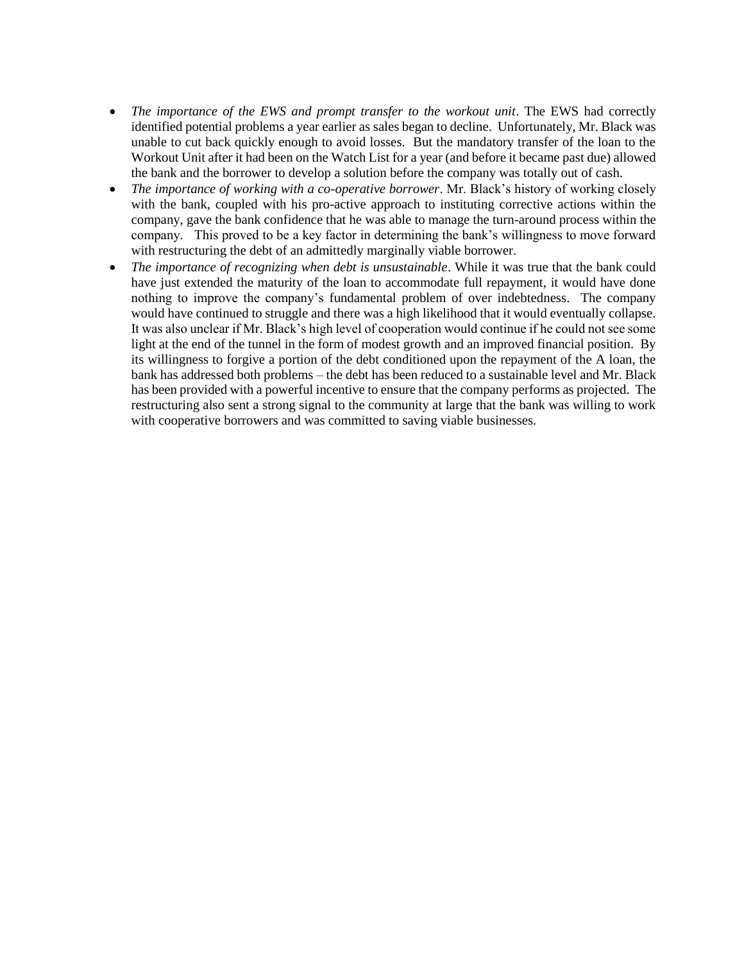- *The importance of the EWS and prompt transfer to the workout unit*. The EWS had correctly identified potential problems a year earlier as sales began to decline. Unfortunately, Mr. Black was unable to cut back quickly enough to avoid losses. But the mandatory transfer of the loan to the Workout Unit after it had been on the Watch List for a year (and before it became past due) allowed the bank and the borrower to develop a solution before the company was totally out of cash.
- *The importance of working with a co-operative borrower*. Mr. Black's history of working closely with the bank, coupled with his pro-active approach to instituting corrective actions within the company, gave the bank confidence that he was able to manage the turn-around process within the company. This proved to be a key factor in determining the bank's willingness to move forward with restructuring the debt of an admittedly marginally viable borrower.
- *The importance of recognizing when debt is unsustainable*. While it was true that the bank could have just extended the maturity of the loan to accommodate full repayment, it would have done nothing to improve the company's fundamental problem of over indebtedness. The company would have continued to struggle and there was a high likelihood that it would eventually collapse. It was also unclear if Mr. Black's high level of cooperation would continue if he could not see some light at the end of the tunnel in the form of modest growth and an improved financial position. By its willingness to forgive a portion of the debt conditioned upon the repayment of the A loan, the bank has addressed both problems – the debt has been reduced to a sustainable level and Mr. Black has been provided with a powerful incentive to ensure that the company performs as projected. The restructuring also sent a strong signal to the community at large that the bank was willing to work with cooperative borrowers and was committed to saving viable businesses.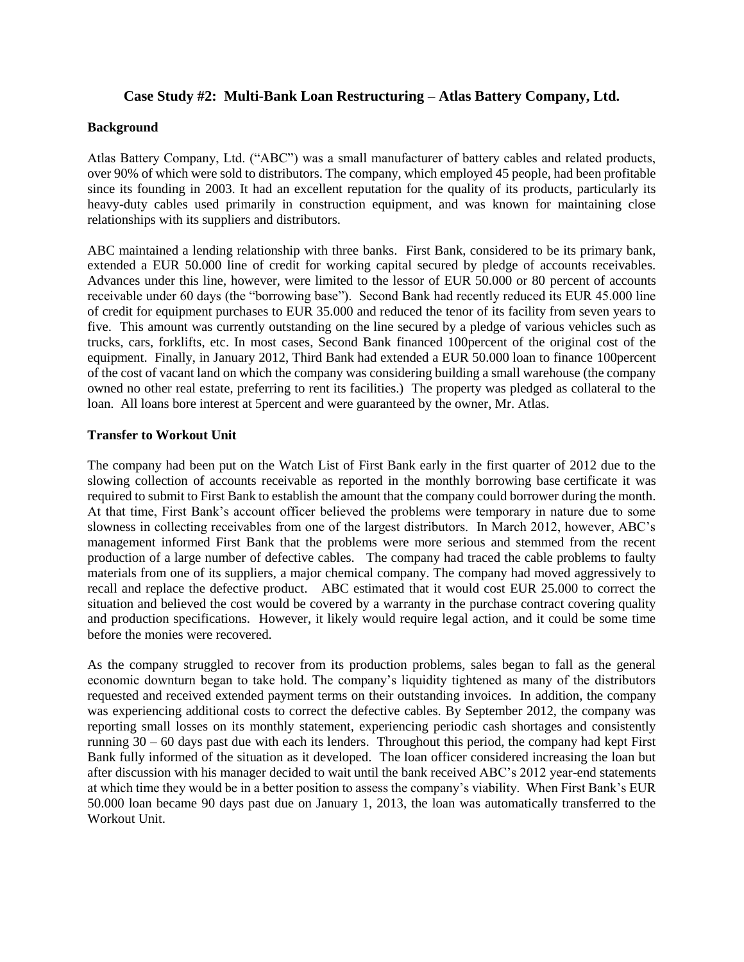### **Case Study #2: Multi-Bank Loan Restructuring – Atlas Battery Company, Ltd.**

#### **Background**

Atlas Battery Company, Ltd. ("ABC") was a small manufacturer of battery cables and related products, over 90% of which were sold to distributors. The company, which employed 45 people, had been profitable since its founding in 2003. It had an excellent reputation for the quality of its products, particularly its heavy-duty cables used primarily in construction equipment, and was known for maintaining close relationships with its suppliers and distributors.

ABC maintained a lending relationship with three banks. First Bank, considered to be its primary bank, extended a EUR 50.000 line of credit for working capital secured by pledge of accounts receivables. Advances under this line, however, were limited to the lessor of EUR 50.000 or 80 percent of accounts receivable under 60 days (the "borrowing base"). Second Bank had recently reduced its EUR 45.000 line of credit for equipment purchases to EUR 35.000 and reduced the tenor of its facility from seven years to five. This amount was currently outstanding on the line secured by a pledge of various vehicles such as trucks, cars, forklifts, etc. In most cases, Second Bank financed 100percent of the original cost of the equipment. Finally, in January 2012, Third Bank had extended a EUR 50.000 loan to finance 100percent of the cost of vacant land on which the company was considering building a small warehouse (the company owned no other real estate, preferring to rent its facilities.) The property was pledged as collateral to the loan. All loans bore interest at 5percent and were guaranteed by the owner, Mr. Atlas.

### **Transfer to Workout Unit**

The company had been put on the Watch List of First Bank early in the first quarter of 2012 due to the slowing collection of accounts receivable as reported in the monthly borrowing base certificate it was required to submit to First Bank to establish the amount that the company could borrower during the month. At that time, First Bank's account officer believed the problems were temporary in nature due to some slowness in collecting receivables from one of the largest distributors. In March 2012, however, ABC's management informed First Bank that the problems were more serious and stemmed from the recent production of a large number of defective cables. The company had traced the cable problems to faulty materials from one of its suppliers, a major chemical company. The company had moved aggressively to recall and replace the defective product. ABC estimated that it would cost EUR 25.000 to correct the situation and believed the cost would be covered by a warranty in the purchase contract covering quality and production specifications. However, it likely would require legal action, and it could be some time before the monies were recovered.

As the company struggled to recover from its production problems, sales began to fall as the general economic downturn began to take hold. The company's liquidity tightened as many of the distributors requested and received extended payment terms on their outstanding invoices. In addition, the company was experiencing additional costs to correct the defective cables. By September 2012, the company was reporting small losses on its monthly statement, experiencing periodic cash shortages and consistently running 30 – 60 days past due with each its lenders. Throughout this period, the company had kept First Bank fully informed of the situation as it developed. The loan officer considered increasing the loan but after discussion with his manager decided to wait until the bank received ABC's 2012 year-end statements at which time they would be in a better position to assess the company's viability. When First Bank's EUR 50.000 loan became 90 days past due on January 1, 2013, the loan was automatically transferred to the Workout Unit.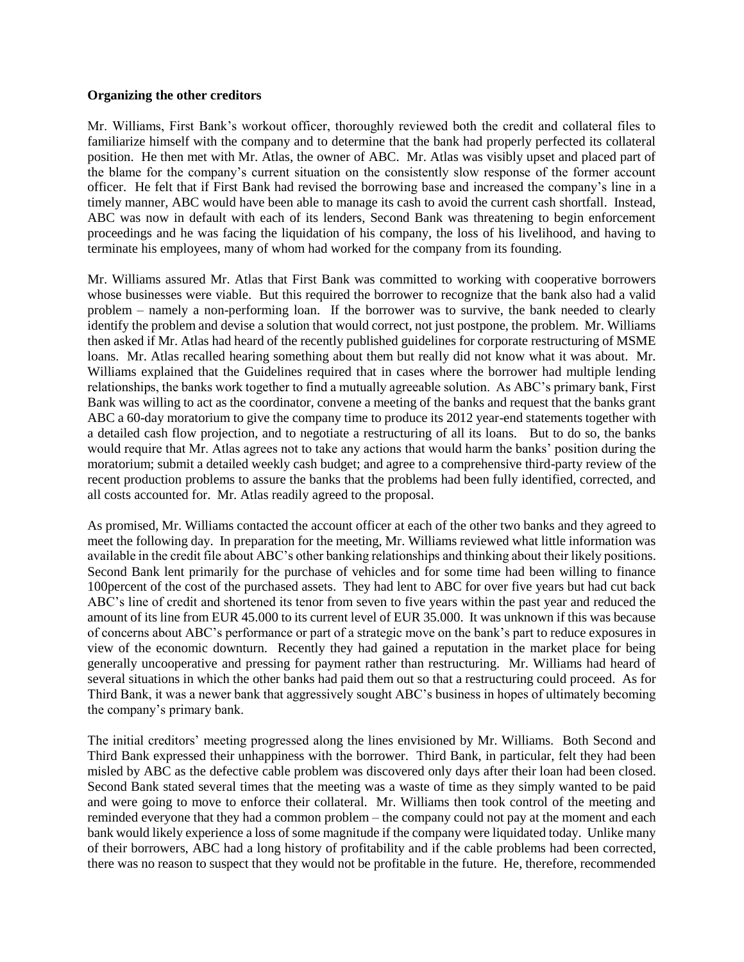#### **Organizing the other creditors**

Mr. Williams, First Bank's workout officer, thoroughly reviewed both the credit and collateral files to familiarize himself with the company and to determine that the bank had properly perfected its collateral position. He then met with Mr. Atlas, the owner of ABC. Mr. Atlas was visibly upset and placed part of the blame for the company's current situation on the consistently slow response of the former account officer. He felt that if First Bank had revised the borrowing base and increased the company's line in a timely manner, ABC would have been able to manage its cash to avoid the current cash shortfall. Instead, ABC was now in default with each of its lenders, Second Bank was threatening to begin enforcement proceedings and he was facing the liquidation of his company, the loss of his livelihood, and having to terminate his employees, many of whom had worked for the company from its founding.

Mr. Williams assured Mr. Atlas that First Bank was committed to working with cooperative borrowers whose businesses were viable. But this required the borrower to recognize that the bank also had a valid problem – namely a non-performing loan. If the borrower was to survive, the bank needed to clearly identify the problem and devise a solution that would correct, not just postpone, the problem. Mr. Williams then asked if Mr. Atlas had heard of the recently published guidelines for corporate restructuring of MSME loans. Mr. Atlas recalled hearing something about them but really did not know what it was about. Mr. Williams explained that the Guidelines required that in cases where the borrower had multiple lending relationships, the banks work together to find a mutually agreeable solution. As ABC's primary bank, First Bank was willing to act as the coordinator, convene a meeting of the banks and request that the banks grant ABC a 60-day moratorium to give the company time to produce its 2012 year-end statements together with a detailed cash flow projection, and to negotiate a restructuring of all its loans. But to do so, the banks would require that Mr. Atlas agrees not to take any actions that would harm the banks' position during the moratorium; submit a detailed weekly cash budget; and agree to a comprehensive third-party review of the recent production problems to assure the banks that the problems had been fully identified, corrected, and all costs accounted for. Mr. Atlas readily agreed to the proposal.

As promised, Mr. Williams contacted the account officer at each of the other two banks and they agreed to meet the following day. In preparation for the meeting, Mr. Williams reviewed what little information was available in the credit file about ABC's other banking relationships and thinking about their likely positions. Second Bank lent primarily for the purchase of vehicles and for some time had been willing to finance 100percent of the cost of the purchased assets. They had lent to ABC for over five years but had cut back ABC's line of credit and shortened its tenor from seven to five years within the past year and reduced the amount of its line from EUR 45.000 to its current level of EUR 35.000. It was unknown if this was because of concerns about ABC's performance or part of a strategic move on the bank's part to reduce exposures in view of the economic downturn. Recently they had gained a reputation in the market place for being generally uncooperative and pressing for payment rather than restructuring. Mr. Williams had heard of several situations in which the other banks had paid them out so that a restructuring could proceed. As for Third Bank, it was a newer bank that aggressively sought ABC's business in hopes of ultimately becoming the company's primary bank.

The initial creditors' meeting progressed along the lines envisioned by Mr. Williams. Both Second and Third Bank expressed their unhappiness with the borrower. Third Bank, in particular, felt they had been misled by ABC as the defective cable problem was discovered only days after their loan had been closed. Second Bank stated several times that the meeting was a waste of time as they simply wanted to be paid and were going to move to enforce their collateral. Mr. Williams then took control of the meeting and reminded everyone that they had a common problem – the company could not pay at the moment and each bank would likely experience a loss of some magnitude if the company were liquidated today. Unlike many of their borrowers, ABC had a long history of profitability and if the cable problems had been corrected, there was no reason to suspect that they would not be profitable in the future. He, therefore, recommended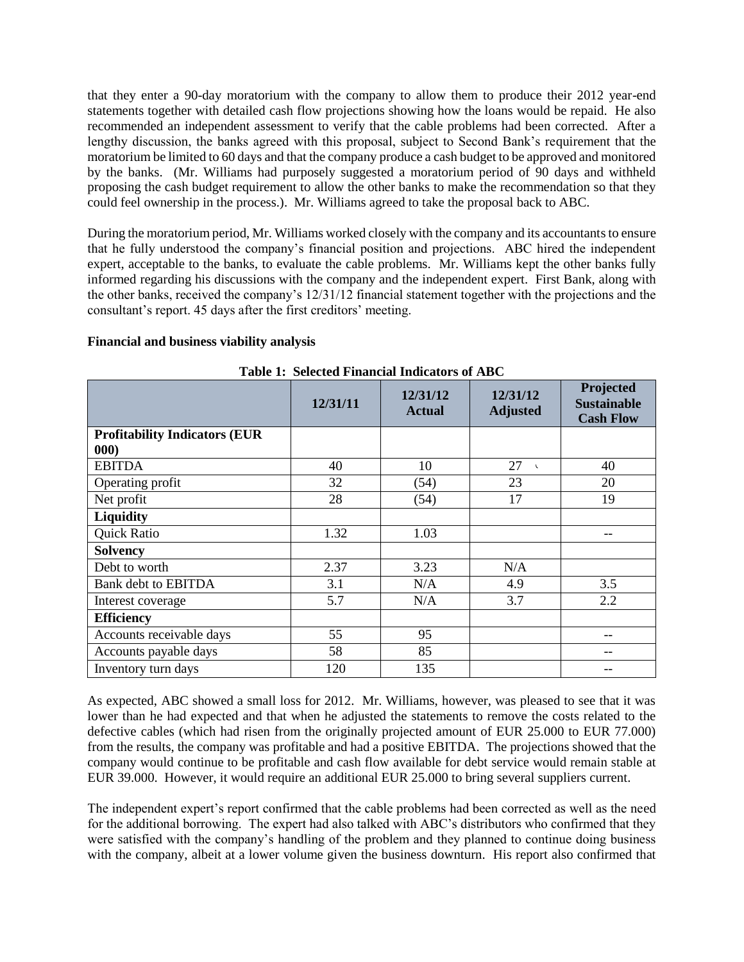that they enter a 90-day moratorium with the company to allow them to produce their 2012 year-end statements together with detailed cash flow projections showing how the loans would be repaid. He also recommended an independent assessment to verify that the cable problems had been corrected. After a lengthy discussion, the banks agreed with this proposal, subject to Second Bank's requirement that the moratorium be limited to 60 days and that the company produce a cash budget to be approved and monitored by the banks. (Mr. Williams had purposely suggested a moratorium period of 90 days and withheld proposing the cash budget requirement to allow the other banks to make the recommendation so that they could feel ownership in the process.). Mr. Williams agreed to take the proposal back to ABC.

During the moratorium period, Mr. Williams worked closely with the company and its accountants to ensure that he fully understood the company's financial position and projections. ABC hired the independent expert, acceptable to the banks, to evaluate the cable problems. Mr. Williams kept the other banks fully informed regarding his discussions with the company and the independent expert. First Bank, along with the other banks, received the company's 12/31/12 financial statement together with the projections and the consultant's report. 45 days after the first creditors' meeting.

### **Financial and business viability analysis**

|                                       | 12/31/11 | 12/31/12<br><b>Actual</b> | 12/31/12<br><b>Adjusted</b> | Projected<br><b>Sustainable</b><br><b>Cash Flow</b> |
|---------------------------------------|----------|---------------------------|-----------------------------|-----------------------------------------------------|
| <b>Profitability Indicators (EUR)</b> |          |                           |                             |                                                     |
| 000)                                  |          |                           |                             |                                                     |
| <b>EBITDA</b>                         | 40       | 10                        | 27<br>$\mathbf{r}$          | 40                                                  |
| Operating profit                      | 32       | (54)                      | 23                          | 20                                                  |
| Net profit                            | 28       | (54)                      | 17                          | 19                                                  |
| <b>Liquidity</b>                      |          |                           |                             |                                                     |
| Quick Ratio                           | 1.32     | 1.03                      |                             | --                                                  |
| <b>Solvency</b>                       |          |                           |                             |                                                     |
| Debt to worth                         | 2.37     | 3.23                      | N/A                         |                                                     |
| <b>Bank debt to EBITDA</b>            | 3.1      | N/A                       | 4.9                         | 3.5                                                 |
| Interest coverage                     | 5.7      | N/A                       | 3.7                         | 2.2                                                 |
| <b>Efficiency</b>                     |          |                           |                             |                                                     |
| Accounts receivable days              | 55       | 95                        |                             | $-$                                                 |
| Accounts payable days                 | 58       | 85                        |                             | --                                                  |
| Inventory turn days                   | 120      | 135                       |                             |                                                     |

**Table 1: Selected Financial Indicators of ABC**

As expected, ABC showed a small loss for 2012. Mr. Williams, however, was pleased to see that it was lower than he had expected and that when he adjusted the statements to remove the costs related to the defective cables (which had risen from the originally projected amount of EUR 25.000 to EUR 77.000) from the results, the company was profitable and had a positive EBITDA. The projections showed that the company would continue to be profitable and cash flow available for debt service would remain stable at EUR 39.000. However, it would require an additional EUR 25.000 to bring several suppliers current.

The independent expert's report confirmed that the cable problems had been corrected as well as the need for the additional borrowing. The expert had also talked with ABC's distributors who confirmed that they were satisfied with the company's handling of the problem and they planned to continue doing business with the company, albeit at a lower volume given the business downturn. His report also confirmed that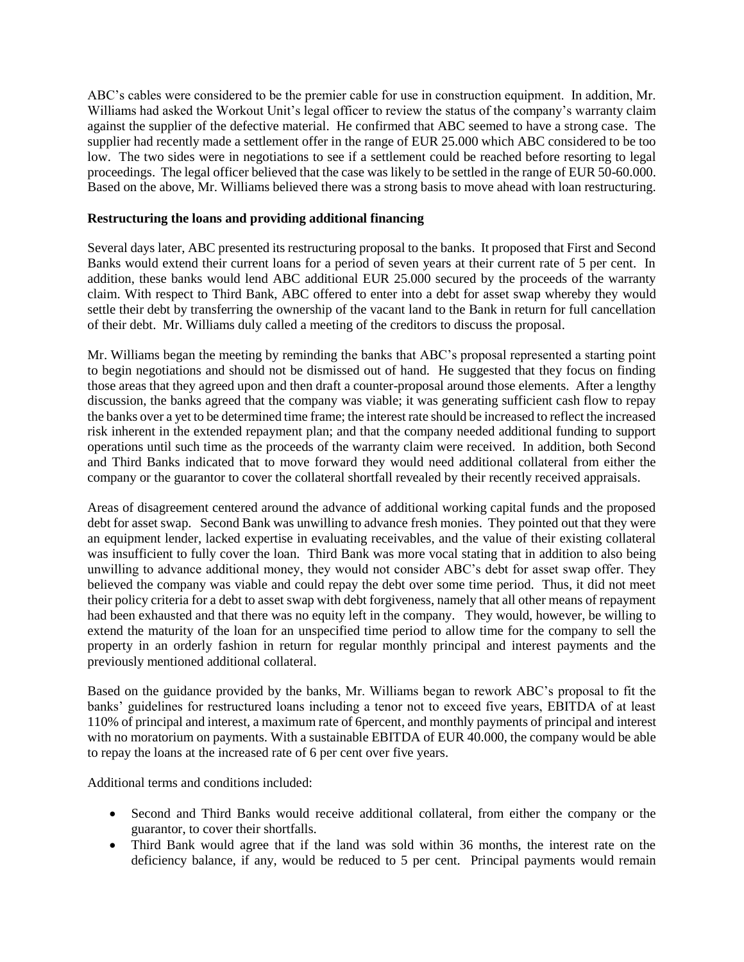ABC's cables were considered to be the premier cable for use in construction equipment. In addition, Mr. Williams had asked the Workout Unit's legal officer to review the status of the company's warranty claim against the supplier of the defective material. He confirmed that ABC seemed to have a strong case. The supplier had recently made a settlement offer in the range of EUR 25.000 which ABC considered to be too low. The two sides were in negotiations to see if a settlement could be reached before resorting to legal proceedings. The legal officer believed that the case was likely to be settled in the range of EUR 50-60.000. Based on the above, Mr. Williams believed there was a strong basis to move ahead with loan restructuring.

### **Restructuring the loans and providing additional financing**

Several days later, ABC presented its restructuring proposal to the banks. It proposed that First and Second Banks would extend their current loans for a period of seven years at their current rate of 5 per cent. In addition, these banks would lend ABC additional EUR 25.000 secured by the proceeds of the warranty claim. With respect to Third Bank, ABC offered to enter into a debt for asset swap whereby they would settle their debt by transferring the ownership of the vacant land to the Bank in return for full cancellation of their debt. Mr. Williams duly called a meeting of the creditors to discuss the proposal.

Mr. Williams began the meeting by reminding the banks that ABC's proposal represented a starting point to begin negotiations and should not be dismissed out of hand. He suggested that they focus on finding those areas that they agreed upon and then draft a counter-proposal around those elements. After a lengthy discussion, the banks agreed that the company was viable; it was generating sufficient cash flow to repay the banks over a yet to be determined time frame; the interest rate should be increased to reflect the increased risk inherent in the extended repayment plan; and that the company needed additional funding to support operations until such time as the proceeds of the warranty claim were received. In addition, both Second and Third Banks indicated that to move forward they would need additional collateral from either the company or the guarantor to cover the collateral shortfall revealed by their recently received appraisals.

Areas of disagreement centered around the advance of additional working capital funds and the proposed debt for asset swap. Second Bank was unwilling to advance fresh monies. They pointed out that they were an equipment lender, lacked expertise in evaluating receivables, and the value of their existing collateral was insufficient to fully cover the loan. Third Bank was more vocal stating that in addition to also being unwilling to advance additional money, they would not consider ABC's debt for asset swap offer. They believed the company was viable and could repay the debt over some time period. Thus, it did not meet their policy criteria for a debt to asset swap with debt forgiveness, namely that all other means of repayment had been exhausted and that there was no equity left in the company. They would, however, be willing to extend the maturity of the loan for an unspecified time period to allow time for the company to sell the property in an orderly fashion in return for regular monthly principal and interest payments and the previously mentioned additional collateral.

Based on the guidance provided by the banks, Mr. Williams began to rework ABC's proposal to fit the banks' guidelines for restructured loans including a tenor not to exceed five years, EBITDA of at least 110% of principal and interest, a maximum rate of 6percent, and monthly payments of principal and interest with no moratorium on payments. With a sustainable EBITDA of EUR 40.000, the company would be able to repay the loans at the increased rate of 6 per cent over five years.

Additional terms and conditions included:

- Second and Third Banks would receive additional collateral, from either the company or the guarantor, to cover their shortfalls.
- Third Bank would agree that if the land was sold within 36 months, the interest rate on the deficiency balance, if any, would be reduced to 5 per cent. Principal payments would remain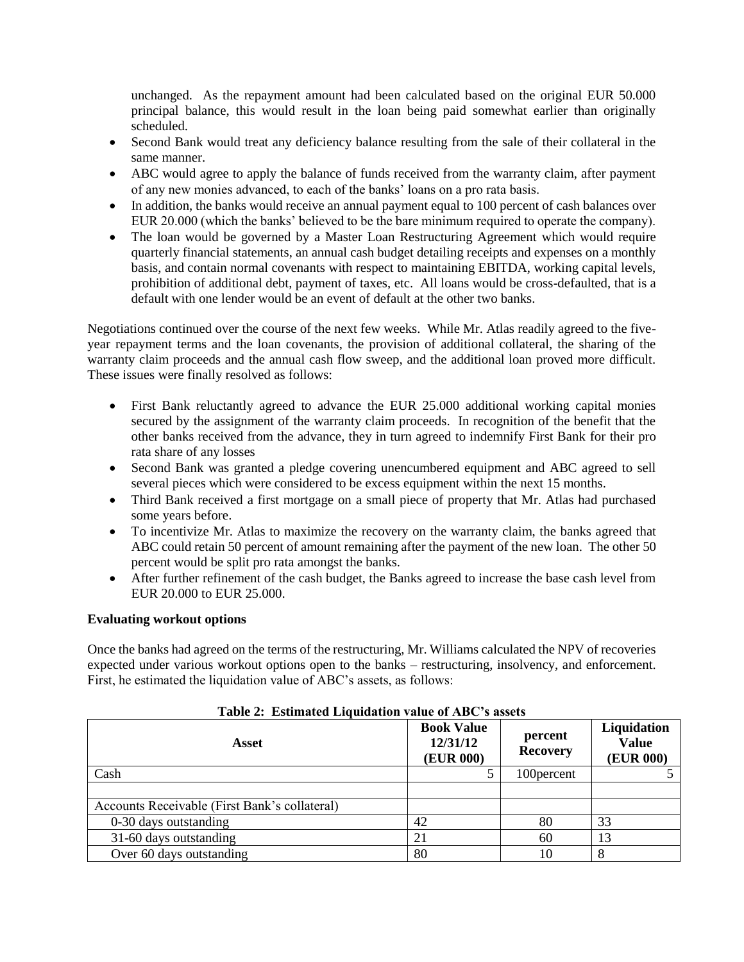unchanged. As the repayment amount had been calculated based on the original EUR 50.000 principal balance, this would result in the loan being paid somewhat earlier than originally scheduled.

- Second Bank would treat any deficiency balance resulting from the sale of their collateral in the same manner.
- ABC would agree to apply the balance of funds received from the warranty claim, after payment of any new monies advanced, to each of the banks' loans on a pro rata basis.
- In addition, the banks would receive an annual payment equal to 100 percent of cash balances over EUR 20.000 (which the banks' believed to be the bare minimum required to operate the company).
- The loan would be governed by a Master Loan Restructuring Agreement which would require quarterly financial statements, an annual cash budget detailing receipts and expenses on a monthly basis, and contain normal covenants with respect to maintaining EBITDA, working capital levels, prohibition of additional debt, payment of taxes, etc. All loans would be cross-defaulted, that is a default with one lender would be an event of default at the other two banks.

Negotiations continued over the course of the next few weeks. While Mr. Atlas readily agreed to the fiveyear repayment terms and the loan covenants, the provision of additional collateral, the sharing of the warranty claim proceeds and the annual cash flow sweep, and the additional loan proved more difficult. These issues were finally resolved as follows:

- First Bank reluctantly agreed to advance the EUR 25.000 additional working capital monies secured by the assignment of the warranty claim proceeds. In recognition of the benefit that the other banks received from the advance, they in turn agreed to indemnify First Bank for their pro rata share of any losses
- Second Bank was granted a pledge covering unencumbered equipment and ABC agreed to sell several pieces which were considered to be excess equipment within the next 15 months.
- Third Bank received a first mortgage on a small piece of property that Mr. Atlas had purchased some years before.
- To incentivize Mr. Atlas to maximize the recovery on the warranty claim, the banks agreed that ABC could retain 50 percent of amount remaining after the payment of the new loan. The other 50 percent would be split pro rata amongst the banks.
- After further refinement of the cash budget, the Banks agreed to increase the base cash level from EUR 20.000 to EUR 25.000.

### **Evaluating workout options**

Once the banks had agreed on the terms of the restructuring, Mr. Williams calculated the NPV of recoveries expected under various workout options open to the banks – restructuring, insolvency, and enforcement. First, he estimated the liquidation value of ABC's assets, as follows:

| Asset                                         | <b>Book Value</b><br>12/31/12<br><b>(EUR 000)</b> | percent<br><b>Recovery</b> | Liquidation<br><b>Value</b><br>(EUR 000) |
|-----------------------------------------------|---------------------------------------------------|----------------------------|------------------------------------------|
| Cash                                          |                                                   | 100 percent                |                                          |
|                                               |                                                   |                            |                                          |
| Accounts Receivable (First Bank's collateral) |                                                   |                            |                                          |
| 0-30 days outstanding                         | 42                                                | 80                         | 33                                       |
| 31-60 days outstanding                        | 21                                                | 60                         | 13                                       |
| Over 60 days outstanding                      | 80                                                | 10                         |                                          |

# **Table 2: Estimated Liquidation value of ABC's assets**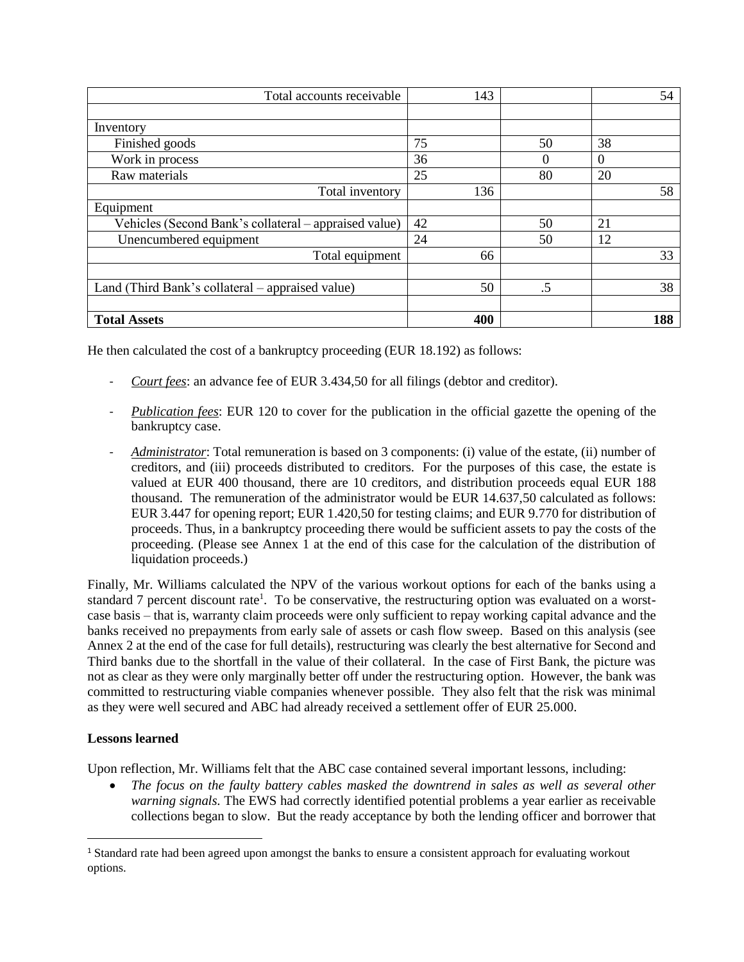| Total accounts receivable                             | 143 |          |          | 54  |
|-------------------------------------------------------|-----|----------|----------|-----|
|                                                       |     |          |          |     |
| Inventory                                             |     |          |          |     |
| Finished goods                                        | 75  | 50       | 38       |     |
| Work in process                                       | 36  | $\theta$ | $\Omega$ |     |
| Raw materials                                         | 25  | 80       | 20       |     |
| Total inventory                                       | 136 |          |          | 58  |
| Equipment                                             |     |          |          |     |
| Vehicles (Second Bank's collateral – appraised value) | 42  | 50       | 21       |     |
| Unencumbered equipment                                | 24  | 50       | 12       |     |
| Total equipment                                       | 66  |          |          | 33  |
|                                                       |     |          |          |     |
| Land (Third Bank's collateral – appraised value)      | 50  | .5       |          | 38  |
|                                                       |     |          |          |     |
| <b>Total Assets</b>                                   | 400 |          |          | 188 |

He then calculated the cost of a bankruptcy proceeding (EUR 18.192) as follows:

- *Court fees*: an advance fee of EUR 3.434,50 for all filings (debtor and creditor).
- *Publication fees*: EUR 120 to cover for the publication in the official gazette the opening of the bankruptcy case.
- *Administrator*: Total remuneration is based on 3 components: (i) value of the estate, (ii) number of creditors, and (iii) proceeds distributed to creditors. For the purposes of this case, the estate is valued at EUR 400 thousand, there are 10 creditors, and distribution proceeds equal EUR 188 thousand. The remuneration of the administrator would be EUR 14.637,50 calculated as follows: EUR 3.447 for opening report; EUR 1.420,50 for testing claims; and EUR 9.770 for distribution of proceeds. Thus, in a bankruptcy proceeding there would be sufficient assets to pay the costs of the proceeding. (Please see Annex 1 at the end of this case for the calculation of the distribution of liquidation proceeds.)

Finally, Mr. Williams calculated the NPV of the various workout options for each of the banks using a standard 7 percent discount rate<sup>1</sup>. To be conservative, the restructuring option was evaluated on a worstcase basis – that is, warranty claim proceeds were only sufficient to repay working capital advance and the banks received no prepayments from early sale of assets or cash flow sweep. Based on this analysis (see Annex 2 at the end of the case for full details), restructuring was clearly the best alternative for Second and Third banks due to the shortfall in the value of their collateral. In the case of First Bank, the picture was not as clear as they were only marginally better off under the restructuring option. However, the bank was committed to restructuring viable companies whenever possible. They also felt that the risk was minimal as they were well secured and ABC had already received a settlement offer of EUR 25.000.

# **Lessons learned**

 $\overline{a}$ 

Upon reflection, Mr. Williams felt that the ABC case contained several important lessons, including:

 *The focus on the faulty battery cables masked the downtrend in sales as well as several other warning signals*. The EWS had correctly identified potential problems a year earlier as receivable collections began to slow. But the ready acceptance by both the lending officer and borrower that

<sup>1</sup> Standard rate had been agreed upon amongst the banks to ensure a consistent approach for evaluating workout options.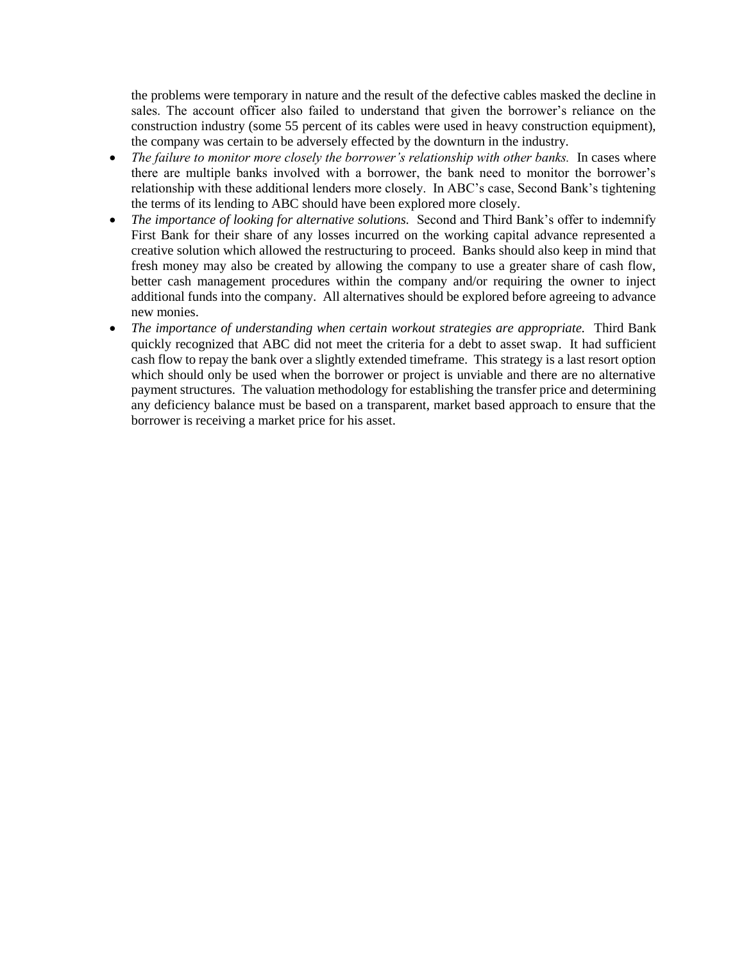the problems were temporary in nature and the result of the defective cables masked the decline in sales. The account officer also failed to understand that given the borrower's reliance on the construction industry (some 55 percent of its cables were used in heavy construction equipment), the company was certain to be adversely effected by the downturn in the industry.

- *The failure to monitor more closely the borrower's relationship with other banks.* In cases where there are multiple banks involved with a borrower, the bank need to monitor the borrower's relationship with these additional lenders more closely. In ABC's case, Second Bank's tightening the terms of its lending to ABC should have been explored more closely.
- *The importance of looking for alternative solutions.* Second and Third Bank's offer to indemnify First Bank for their share of any losses incurred on the working capital advance represented a creative solution which allowed the restructuring to proceed. Banks should also keep in mind that fresh money may also be created by allowing the company to use a greater share of cash flow, better cash management procedures within the company and/or requiring the owner to inject additional funds into the company. All alternatives should be explored before agreeing to advance new monies.
- *The importance of understanding when certain workout strategies are appropriate.* Third Bank quickly recognized that ABC did not meet the criteria for a debt to asset swap. It had sufficient cash flow to repay the bank over a slightly extended timeframe. This strategy is a last resort option which should only be used when the borrower or project is unviable and there are no alternative payment structures. The valuation methodology for establishing the transfer price and determining any deficiency balance must be based on a transparent, market based approach to ensure that the borrower is receiving a market price for his asset.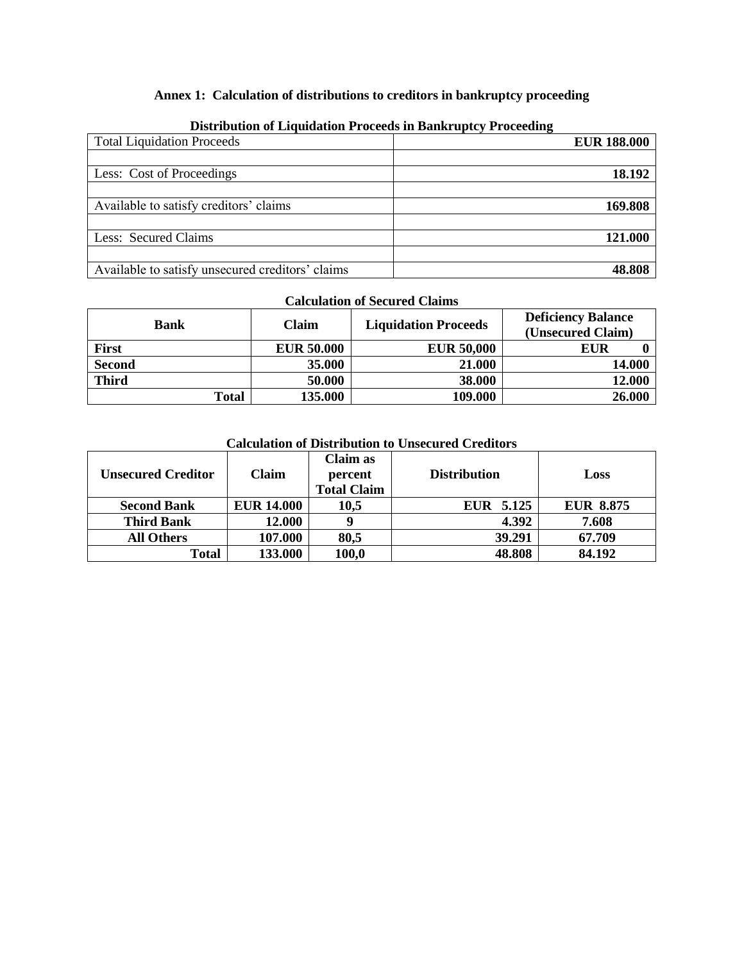# **Annex 1: Calculation of distributions to creditors in bankruptcy proceeding**

| Distribution of Engination I Foccess in Bunni upte) I Focceani |                    |
|----------------------------------------------------------------|--------------------|
| <b>Total Liquidation Proceeds</b>                              | <b>EUR 188.000</b> |
|                                                                |                    |
| Less: Cost of Proceedings                                      | 18.192             |
|                                                                |                    |
| Available to satisfy creditors' claims                         | 169.808            |
|                                                                |                    |
| Less: Secured Claims                                           | 121.000            |
|                                                                |                    |
| Available to satisfy unsecured creditors' claims               | 48.808             |

#### **Distribution of Liquidation Proceeds in Bankruptcy Proceeding**

# **Calculation of Secured Claims**

| Bank          | Claim             | <b>Liquidation Proceeds</b> | <b>Deficiency Balance</b><br>(Unsecured Claim) |
|---------------|-------------------|-----------------------------|------------------------------------------------|
| First         | <b>EUR 50.000</b> | <b>EUR 50,000</b>           | EUR                                            |
| <b>Second</b> | 35.000            | 21.000                      | 14.000                                         |
| <b>Third</b>  | 50.000            | 38.000                      | 12.000                                         |
| <b>Total</b>  | 135.000           | 109.000                     | 26.000                                         |

# **Calculation of Distribution to Unsecured Creditors**

| <b>Unsecured Creditor</b> | Claim             | Claim as<br>percent<br><b>Total Claim</b> | <b>Distribution</b> | Loss             |
|---------------------------|-------------------|-------------------------------------------|---------------------|------------------|
| <b>Second Bank</b>        | <b>EUR 14.000</b> | 10,5                                      | EUR 5.125           | <b>EUR 8.875</b> |
| <b>Third Bank</b>         | 12.000            | g                                         | 4.392               | 7.608            |
| <b>All Others</b>         | 107.000           | 80,5                                      | 39.291              | 67.709           |
| Total                     | 133.000           | 100,0                                     | 48.808              | 84.192           |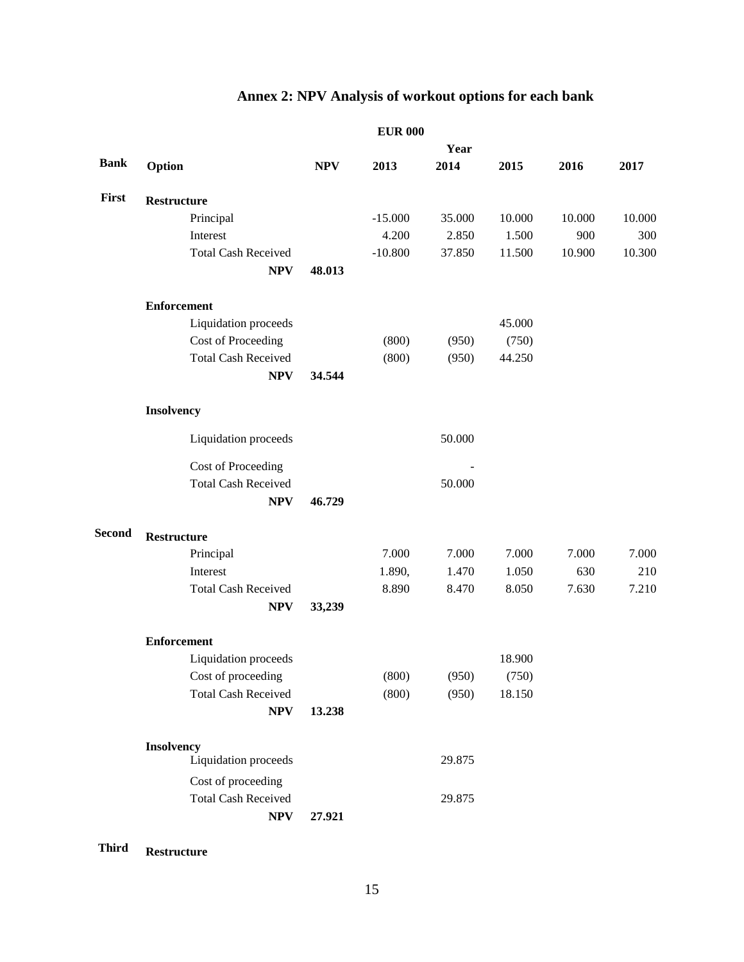# **Annex 2: NPV Analysis of workout options for each bank**

|                            |                                            |           | Year   |                                    |        |        |
|----------------------------|--------------------------------------------|-----------|--------|------------------------------------|--------|--------|
| Option                     | <b>NPV</b>                                 | 2013      | 2014   | 2015                               | 2016   | 2017   |
| <b>Restructure</b>         |                                            |           |        |                                    |        |        |
| Principal                  |                                            | $-15.000$ | 35.000 | 10.000                             | 10.000 | 10.000 |
| Interest                   |                                            | 4.200     | 2.850  | 1.500                              | 900    | 300    |
| <b>Total Cash Received</b> |                                            | $-10.800$ | 37.850 | 11.500                             | 10.900 | 10.300 |
| <b>NPV</b>                 | 48.013                                     |           |        |                                    |        |        |
| <b>Enforcement</b>         |                                            |           |        |                                    |        |        |
| Liquidation proceeds       |                                            |           |        | 45.000                             |        |        |
| Cost of Proceeding         |                                            | (800)     | (950)  | (750)                              |        |        |
| <b>Total Cash Received</b> |                                            | (800)     | (950)  | 44.250                             |        |        |
| <b>NPV</b>                 | 34.544                                     |           |        |                                    |        |        |
| Insolvency                 |                                            |           |        |                                    |        |        |
| Liquidation proceeds       |                                            |           | 50.000 |                                    |        |        |
|                            |                                            |           |        |                                    |        |        |
| <b>Total Cash Received</b> |                                            |           |        |                                    |        |        |
| <b>NPV</b>                 | 46.729                                     |           |        |                                    |        |        |
| <b>Restructure</b>         |                                            |           |        |                                    |        |        |
| Principal                  |                                            | 7.000     | 7.000  | 7.000                              | 7.000  | 7.000  |
| Interest                   |                                            | 1.890,    | 1.470  | 1.050                              | 630    | 210    |
| <b>Total Cash Received</b> |                                            | 8.890     | 8.470  | 8.050                              | 7.630  | 7.210  |
| <b>NPV</b>                 | 33,239                                     |           |        |                                    |        |        |
| <b>Enforcement</b>         |                                            |           |        |                                    |        |        |
| Liquidation proceeds       |                                            |           |        | 18.900                             |        |        |
| Cost of proceeding         |                                            | (800)     | (950)  | (750)                              |        |        |
| <b>Total Cash Received</b> |                                            | (800)     | (950)  | 18.150                             |        |        |
| <b>NPV</b>                 | 13.238                                     |           |        |                                    |        |        |
| Insolvency                 |                                            |           |        |                                    |        |        |
|                            |                                            |           |        |                                    |        |        |
| Cost of proceeding         |                                            |           |        |                                    |        |        |
| <b>Total Cash Received</b> |                                            |           | 29.875 |                                    |        |        |
| <b>NPV</b>                 | 27.921                                     |           |        |                                    |        |        |
|                            | Cost of Proceeding<br>Liquidation proceeds |           |        | <b>EUR 000</b><br>50.000<br>29.875 |        |        |

**Third Restructure**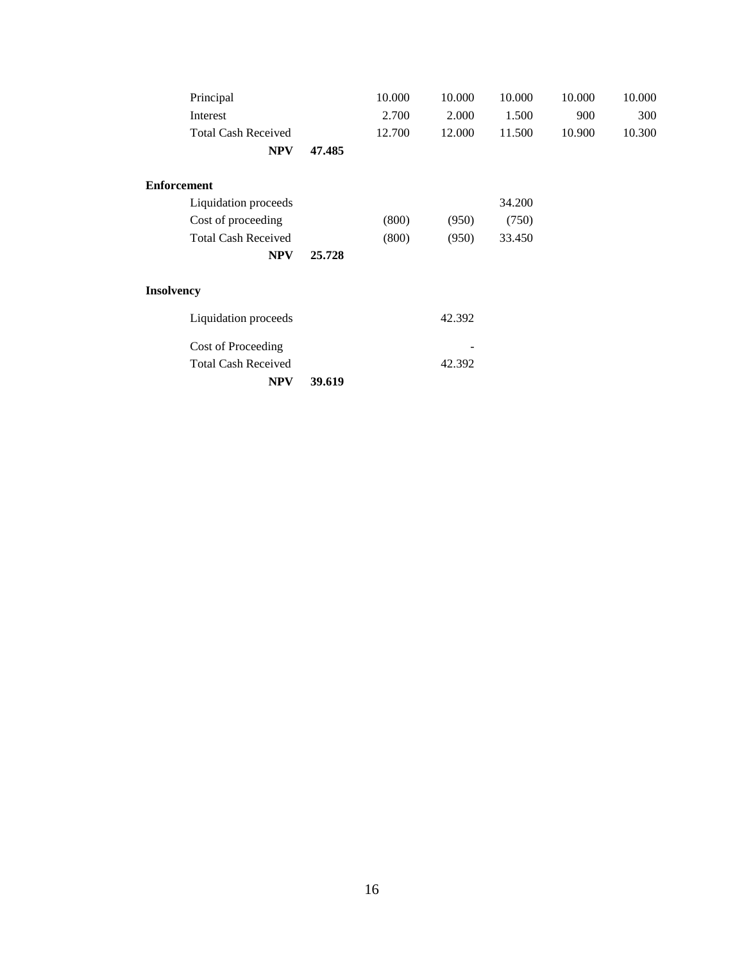| Principal                  |        | 10.000 | 10.000 | 10.000 | 10.000 | 10.000 |
|----------------------------|--------|--------|--------|--------|--------|--------|
| Interest                   |        | 2.700  | 2.000  | 1.500  | 900    | 300    |
| <b>Total Cash Received</b> |        | 12.700 | 12.000 | 11.500 | 10.900 | 10.300 |
| <b>NPV</b>                 | 47.485 |        |        |        |        |        |
| <b>Enforcement</b>         |        |        |        |        |        |        |
| Liquidation proceeds       |        |        |        | 34.200 |        |        |
| Cost of proceeding         |        | (800)  | (950)  | (750)  |        |        |
| <b>Total Cash Received</b> |        | (800)  | (950)  | 33.450 |        |        |
| <b>NPV</b>                 | 25.728 |        |        |        |        |        |
| <b>Insolvency</b>          |        |        |        |        |        |        |
| Liquidation proceeds       |        |        | 42.392 |        |        |        |
| Cost of Proceeding         |        |        |        |        |        |        |
| <b>Total Cash Received</b> |        |        | 42.392 |        |        |        |
| <b>NPV</b>                 | 39.619 |        |        |        |        |        |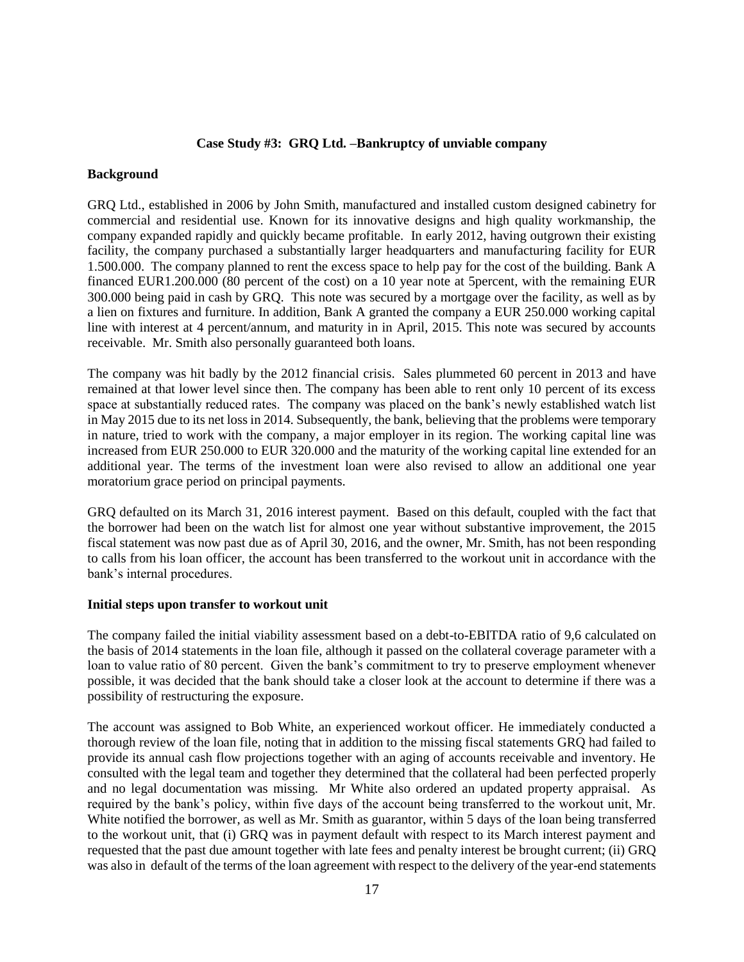### **Case Study #3: GRQ Ltd. –Bankruptcy of unviable company**

#### **Background**

GRQ Ltd., established in 2006 by John Smith, manufactured and installed custom designed cabinetry for commercial and residential use. Known for its innovative designs and high quality workmanship, the company expanded rapidly and quickly became profitable. In early 2012, having outgrown their existing facility, the company purchased a substantially larger headquarters and manufacturing facility for EUR 1.500.000. The company planned to rent the excess space to help pay for the cost of the building. Bank A financed EUR1.200.000 (80 percent of the cost) on a 10 year note at 5percent, with the remaining EUR 300.000 being paid in cash by GRQ. This note was secured by a mortgage over the facility, as well as by a lien on fixtures and furniture. In addition, Bank A granted the company a EUR 250.000 working capital line with interest at 4 percent/annum, and maturity in in April, 2015. This note was secured by accounts receivable. Mr. Smith also personally guaranteed both loans.

The company was hit badly by the 2012 financial crisis. Sales plummeted 60 percent in 2013 and have remained at that lower level since then. The company has been able to rent only 10 percent of its excess space at substantially reduced rates. The company was placed on the bank's newly established watch list in May 2015 due to its net loss in 2014. Subsequently, the bank, believing that the problems were temporary in nature, tried to work with the company, a major employer in its region. The working capital line was increased from EUR 250.000 to EUR 320.000 and the maturity of the working capital line extended for an additional year. The terms of the investment loan were also revised to allow an additional one year moratorium grace period on principal payments.

GRQ defaulted on its March 31, 2016 interest payment. Based on this default, coupled with the fact that the borrower had been on the watch list for almost one year without substantive improvement, the 2015 fiscal statement was now past due as of April 30, 2016, and the owner, Mr. Smith, has not been responding to calls from his loan officer, the account has been transferred to the workout unit in accordance with the bank's internal procedures.

#### **Initial steps upon transfer to workout unit**

The company failed the initial viability assessment based on a debt-to-EBITDA ratio of 9,6 calculated on the basis of 2014 statements in the loan file, although it passed on the collateral coverage parameter with a loan to value ratio of 80 percent. Given the bank's commitment to try to preserve employment whenever possible, it was decided that the bank should take a closer look at the account to determine if there was a possibility of restructuring the exposure.

The account was assigned to Bob White, an experienced workout officer. He immediately conducted a thorough review of the loan file, noting that in addition to the missing fiscal statements GRQ had failed to provide its annual cash flow projections together with an aging of accounts receivable and inventory. He consulted with the legal team and together they determined that the collateral had been perfected properly and no legal documentation was missing. Mr White also ordered an updated property appraisal. As required by the bank's policy, within five days of the account being transferred to the workout unit, Mr. White notified the borrower, as well as Mr. Smith as guarantor, within 5 days of the loan being transferred to the workout unit, that (i) GRQ was in payment default with respect to its March interest payment and requested that the past due amount together with late fees and penalty interest be brought current; (ii) GRQ was also in default of the terms of the loan agreement with respect to the delivery of the year-end statements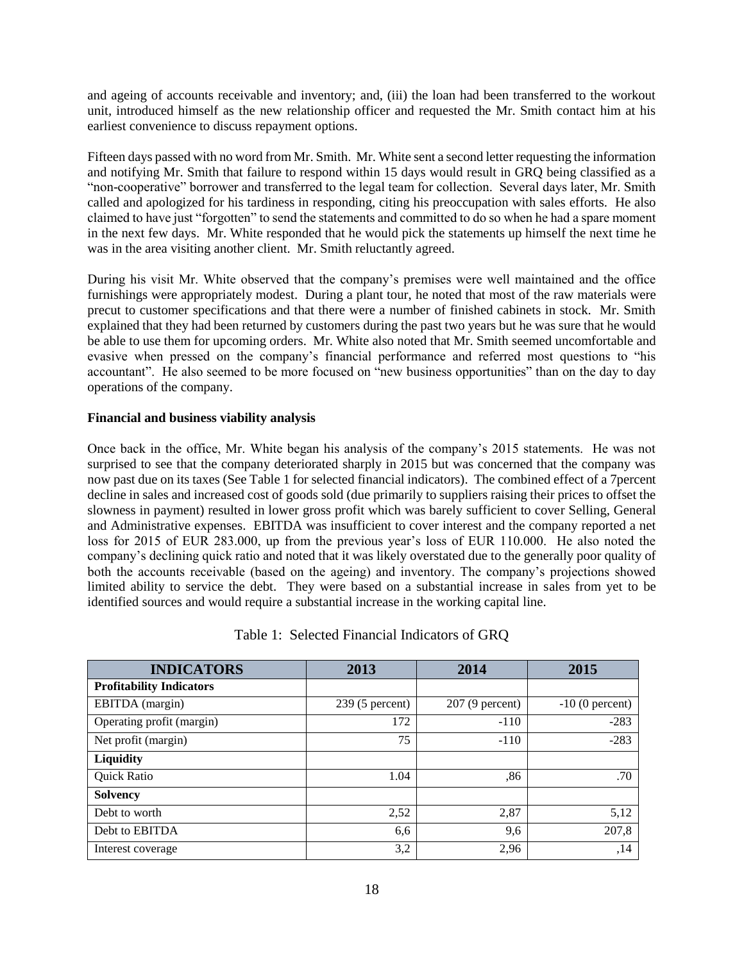and ageing of accounts receivable and inventory; and, (iii) the loan had been transferred to the workout unit, introduced himself as the new relationship officer and requested the Mr. Smith contact him at his earliest convenience to discuss repayment options.

Fifteen days passed with no word from Mr. Smith. Mr. White sent a second letter requesting the information and notifying Mr. Smith that failure to respond within 15 days would result in GRQ being classified as a "non-cooperative" borrower and transferred to the legal team for collection. Several days later, Mr. Smith called and apologized for his tardiness in responding, citing his preoccupation with sales efforts. He also claimed to have just "forgotten" to send the statements and committed to do so when he had a spare moment in the next few days. Mr. White responded that he would pick the statements up himself the next time he was in the area visiting another client. Mr. Smith reluctantly agreed.

During his visit Mr. White observed that the company's premises were well maintained and the office furnishings were appropriately modest. During a plant tour, he noted that most of the raw materials were precut to customer specifications and that there were a number of finished cabinets in stock. Mr. Smith explained that they had been returned by customers during the past two years but he was sure that he would be able to use them for upcoming orders. Mr. White also noted that Mr. Smith seemed uncomfortable and evasive when pressed on the company's financial performance and referred most questions to "his accountant". He also seemed to be more focused on "new business opportunities" than on the day to day operations of the company.

# **Financial and business viability analysis**

Once back in the office, Mr. White began his analysis of the company's 2015 statements. He was not surprised to see that the company deteriorated sharply in 2015 but was concerned that the company was now past due on its taxes (See Table 1 for selected financial indicators). The combined effect of a 7percent decline in sales and increased cost of goods sold (due primarily to suppliers raising their prices to offset the slowness in payment) resulted in lower gross profit which was barely sufficient to cover Selling, General and Administrative expenses. EBITDA was insufficient to cover interest and the company reported a net loss for 2015 of EUR 283.000, up from the previous year's loss of EUR 110.000. He also noted the company's declining quick ratio and noted that it was likely overstated due to the generally poor quality of both the accounts receivable (based on the ageing) and inventory. The company's projections showed limited ability to service the debt. They were based on a substantial increase in sales from yet to be identified sources and would require a substantial increase in the working capital line.

| <b>INDICATORS</b>               | 2013              | 2014              | 2015              |  |
|---------------------------------|-------------------|-------------------|-------------------|--|
| <b>Profitability Indicators</b> |                   |                   |                   |  |
| EBITDA (margin)                 | $239(5)$ percent) | $207(9)$ percent) | $-10(0)$ percent) |  |
| Operating profit (margin)       | 172               | $-110$            | $-283$            |  |
| Net profit (margin)             | 75                | $-110$            | $-283$            |  |
| Liquidity                       |                   |                   |                   |  |
| <b>Quick Ratio</b>              | 1.04              | .86               | .70               |  |
| <b>Solvency</b>                 |                   |                   |                   |  |
| Debt to worth                   | 2,52              | 2,87              | 5,12              |  |
| Debt to EBITDA                  | 6,6               | 9,6               | 207,8             |  |
| Interest coverage               | 3,2               | 2,96              | ,14               |  |

# Table 1: Selected Financial Indicators of GRQ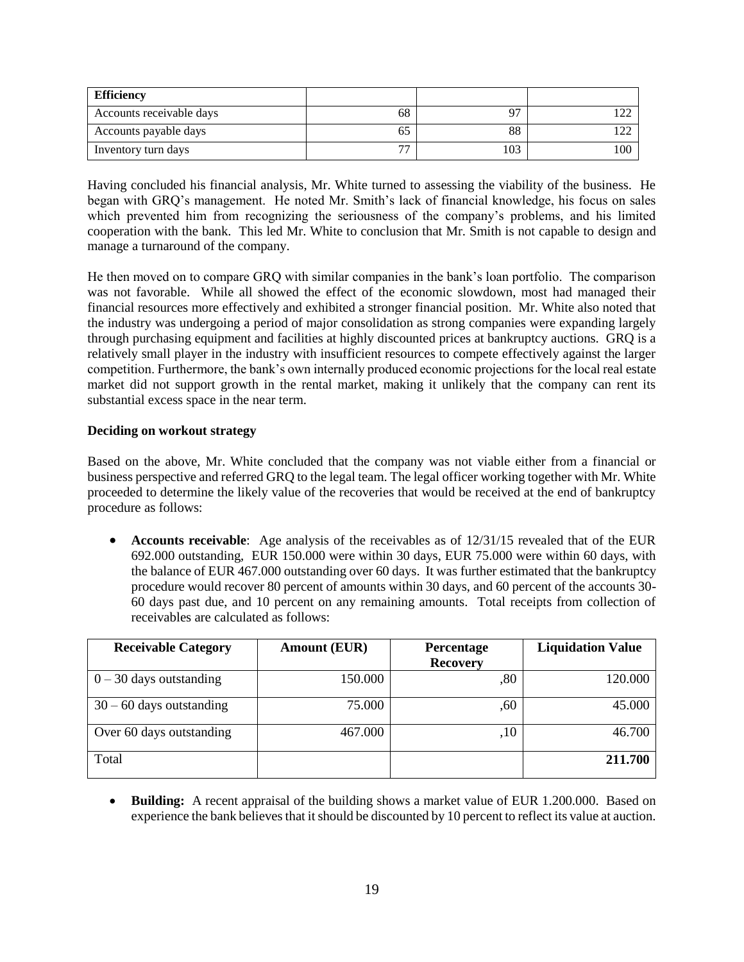| <b>Efficiency</b>        |                          |     |  |
|--------------------------|--------------------------|-----|--|
| Accounts receivable days | 68                       | 97  |  |
| Accounts payable days    | OΞ                       | 88  |  |
| Inventory turn days      | $\overline{\phantom{a}}$ | 103 |  |

Having concluded his financial analysis, Mr. White turned to assessing the viability of the business. He began with GRQ's management. He noted Mr. Smith's lack of financial knowledge, his focus on sales which prevented him from recognizing the seriousness of the company's problems, and his limited cooperation with the bank. This led Mr. White to conclusion that Mr. Smith is not capable to design and manage a turnaround of the company.

He then moved on to compare GRQ with similar companies in the bank's loan portfolio. The comparison was not favorable. While all showed the effect of the economic slowdown, most had managed their financial resources more effectively and exhibited a stronger financial position. Mr. White also noted that the industry was undergoing a period of major consolidation as strong companies were expanding largely through purchasing equipment and facilities at highly discounted prices at bankruptcy auctions. GRQ is a relatively small player in the industry with insufficient resources to compete effectively against the larger competition. Furthermore, the bank's own internally produced economic projections for the local real estate market did not support growth in the rental market, making it unlikely that the company can rent its substantial excess space in the near term.

### **Deciding on workout strategy**

Based on the above, Mr. White concluded that the company was not viable either from a financial or business perspective and referred GRQ to the legal team. The legal officer working together with Mr. White proceeded to determine the likely value of the recoveries that would be received at the end of bankruptcy procedure as follows:

 **Accounts receivable**: Age analysis of the receivables as of 12/31/15 revealed that of the EUR 692.000 outstanding, EUR 150.000 were within 30 days, EUR 75.000 were within 60 days, with the balance of EUR 467.000 outstanding over 60 days. It was further estimated that the bankruptcy procedure would recover 80 percent of amounts within 30 days, and 60 percent of the accounts 30- 60 days past due, and 10 percent on any remaining amounts. Total receipts from collection of receivables are calculated as follows:

| <b>Receivable Category</b> | <b>Amount (EUR)</b> | Percentage<br><b>Recovery</b> | <b>Liquidation Value</b> |
|----------------------------|---------------------|-------------------------------|--------------------------|
| $0 - 30$ days outstanding  | 150.000             | ,80                           | 120.000                  |
| $30 - 60$ days outstanding | 75.000              | ,60                           | 45.000                   |
| Over 60 days outstanding   | 467.000             | ,10                           | 46.700                   |
| Total                      |                     |                               | 211.700                  |

 **Building:** A recent appraisal of the building shows a market value of EUR 1.200.000. Based on experience the bank believes that it should be discounted by 10 percent to reflect its value at auction.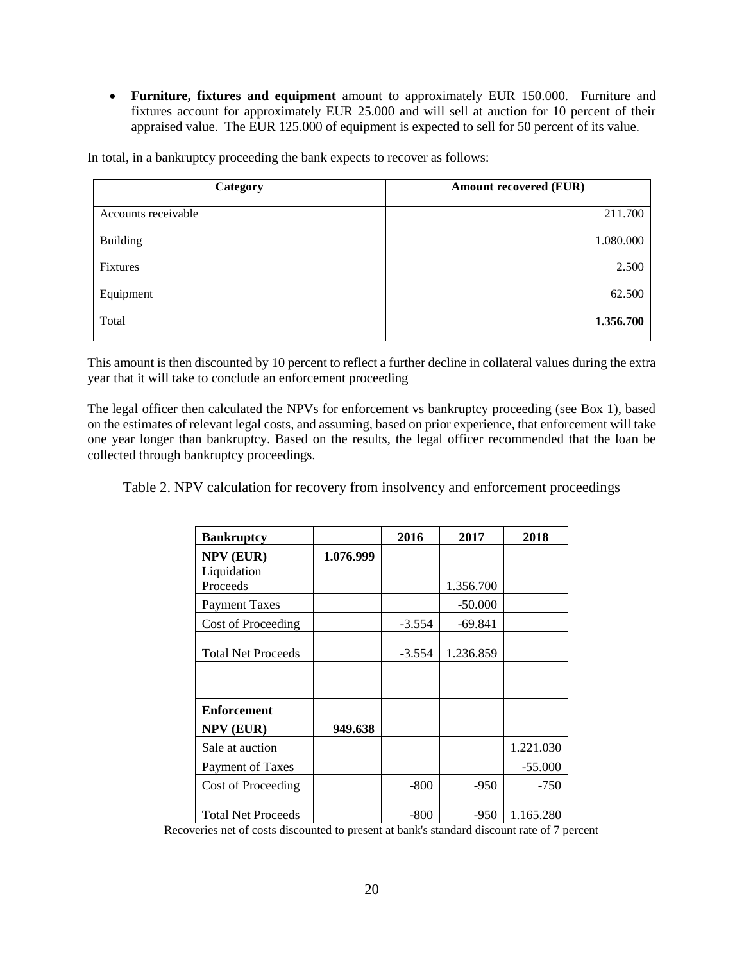**Furniture, fixtures and equipment** amount to approximately EUR 150.000. Furniture and fixtures account for approximately EUR 25.000 and will sell at auction for 10 percent of their appraised value. The EUR 125.000 of equipment is expected to sell for 50 percent of its value.

In total, in a bankruptcy proceeding the bank expects to recover as follows:

| Category            | <b>Amount recovered (EUR)</b> |
|---------------------|-------------------------------|
| Accounts receivable | 211.700                       |
| <b>Building</b>     | 1.080.000                     |
| Fixtures            | 2.500                         |
| Equipment           | 62.500                        |
| Total               | 1.356.700                     |

This amount is then discounted by 10 percent to reflect a further decline in collateral values during the extra year that it will take to conclude an enforcement proceeding

The legal officer then calculated the NPVs for enforcement vs bankruptcy proceeding (see Box 1), based on the estimates of relevant legal costs, and assuming, based on prior experience, that enforcement will take one year longer than bankruptcy. Based on the results, the legal officer recommended that the loan be collected through bankruptcy proceedings.

Table 2. NPV calculation for recovery from insolvency and enforcement proceedings

| <b>Bankruptcy</b>         |           | 2016     | 2017      | 2018      |
|---------------------------|-----------|----------|-----------|-----------|
| <b>NPV (EUR)</b>          | 1.076.999 |          |           |           |
| Liquidation<br>Proceeds   |           |          | 1.356.700 |           |
| <b>Payment Taxes</b>      |           |          | $-50.000$ |           |
| Cost of Proceeding        |           | $-3.554$ | $-69.841$ |           |
| <b>Total Net Proceeds</b> |           | $-3.554$ | 1.236.859 |           |
|                           |           |          |           |           |
| <b>Enforcement</b>        |           |          |           |           |
| <b>NPV (EUR)</b>          | 949.638   |          |           |           |
| Sale at auction           |           |          |           | 1.221.030 |
| Payment of Taxes          |           |          |           | $-55.000$ |
| Cost of Proceeding        |           | $-800$   | $-950$    | $-750$    |
| <b>Total Net Proceeds</b> |           | -800     | $-950$    | 1.165.280 |

Recoveries net of costs discounted to present at bank's standard discount rate of 7 percent